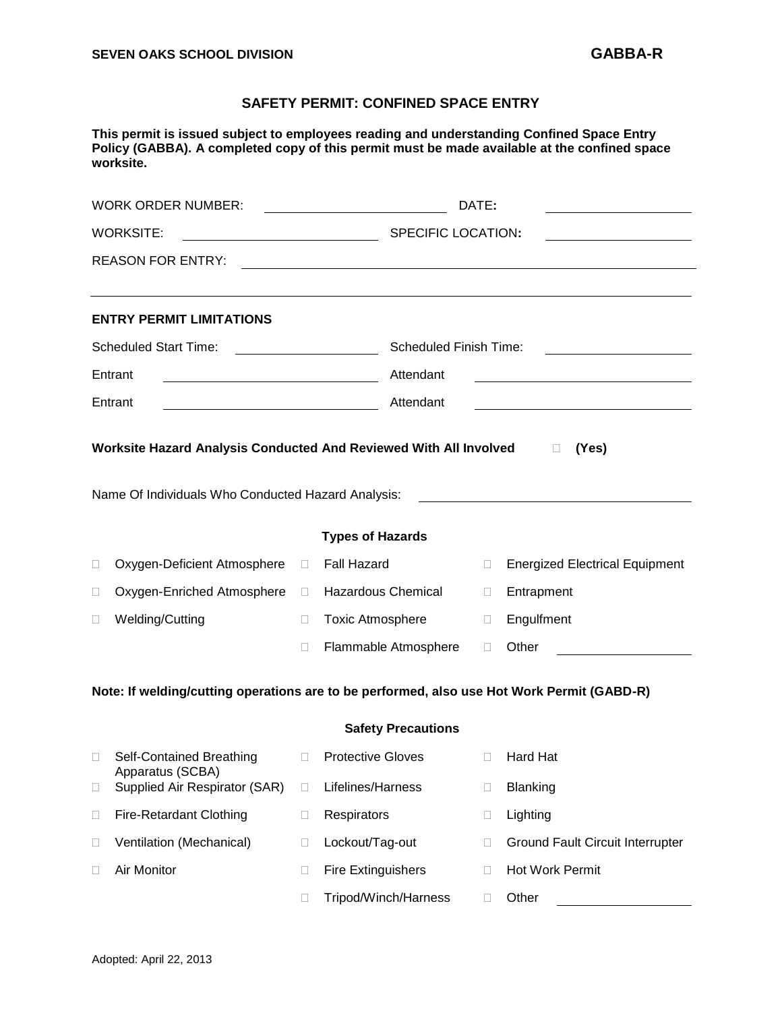## **SAFETY PERMIT: CONFINED SPACE ENTRY**

**This permit is issued subject to employees reading and understanding Confined Space Entry Policy (GABBA). A completed copy of this permit must be made available at the confined space worksite.**

|                                                                                                                                            | <b>WORK ORDER NUMBER:</b>                         |        | <u> 1989 - Johann Barbara, martxa al</u> | DATE:                                                                                                                                          |                                                   |  |  |  |
|--------------------------------------------------------------------------------------------------------------------------------------------|---------------------------------------------------|--------|------------------------------------------|------------------------------------------------------------------------------------------------------------------------------------------------|---------------------------------------------------|--|--|--|
| <b>WORKSITE:</b><br>SPECIFIC LOCATION:                                                                                                     |                                                   |        |                                          | <u> 1989 - Johann Barbara, martin a</u>                                                                                                        |                                                   |  |  |  |
| <b>REASON FOR ENTRY:</b>                                                                                                                   |                                                   |        |                                          |                                                                                                                                                |                                                   |  |  |  |
|                                                                                                                                            | <b>ENTRY PERMIT LIMITATIONS</b>                   |        |                                          |                                                                                                                                                |                                                   |  |  |  |
| <b>Scheduled Start Time:</b>                                                                                                               |                                                   |        |                                          | Scheduled Finish Time:<br><u> 1980 - Jan Stein Stein Stein Stein Stein Stein Stein Stein Stein Stein Stein Stein Stein Stein Stein Stein S</u> |                                                   |  |  |  |
| Entrant                                                                                                                                    |                                                   |        | Attendant                                | <u> 1989 - Johann Barn, mars ann an t-Amhain Aonaich an t-Aonaich an t-Aonaich ann an t-Aonaich ann an t-Aonaich</u>                           |                                                   |  |  |  |
| Entrant<br><u> 1989 - Jan Samuel Barbara, margaret e</u>                                                                                   |                                                   |        | Attendant                                |                                                                                                                                                | <u> 1989 - Johann Barbara, martxa alemaniar a</u> |  |  |  |
| Worksite Hazard Analysis Conducted And Reviewed With All Involved<br>(Yes)<br>$\Box$<br>Name Of Individuals Who Conducted Hazard Analysis: |                                                   |        |                                          |                                                                                                                                                |                                                   |  |  |  |
| <b>Types of Hazards</b>                                                                                                                    |                                                   |        |                                          |                                                                                                                                                |                                                   |  |  |  |
| □                                                                                                                                          | Oxygen-Deficient Atmosphere                       | $\Box$ | Fall Hazard                              | $\Box$                                                                                                                                         | <b>Energized Electrical Equipment</b>             |  |  |  |
| 0                                                                                                                                          | Oxygen-Enriched Atmosphere                        | $\Box$ | <b>Hazardous Chemical</b>                | $\Box$                                                                                                                                         | Entrapment                                        |  |  |  |
| 0                                                                                                                                          | Welding/Cutting                                   | $\Box$ | <b>Toxic Atmosphere</b>                  | $\Box$                                                                                                                                         | Engulfment                                        |  |  |  |
|                                                                                                                                            |                                                   | □      | Flammable Atmosphere                     | $\Box$                                                                                                                                         | Other                                             |  |  |  |
| Note: If welding/cutting operations are to be performed, also use Hot Work Permit (GABD-R)                                                 |                                                   |        |                                          |                                                                                                                                                |                                                   |  |  |  |
| <b>Safety Precautions</b>                                                                                                                  |                                                   |        |                                          |                                                                                                                                                |                                                   |  |  |  |
| $\Box$                                                                                                                                     | Self-Contained Breathing                          | $\Box$ | <b>Protective Gloves</b>                 | $\Box$                                                                                                                                         | Hard Hat                                          |  |  |  |
| $\Box$                                                                                                                                     | Apparatus (SCBA)<br>Supplied Air Respirator (SAR) | $\Box$ | Lifelines/Harness                        |                                                                                                                                                | <b>Blanking</b>                                   |  |  |  |
| $\Box$                                                                                                                                     | <b>Fire-Retardant Clothing</b>                    | $\Box$ | Respirators                              | 0                                                                                                                                              | Lighting                                          |  |  |  |
| $\Box$                                                                                                                                     | Ventilation (Mechanical)                          | $\Box$ | Lockout/Tag-out                          | □                                                                                                                                              | Ground Fault Circuit Interrupter                  |  |  |  |
| □                                                                                                                                          | Air Monitor                                       | □      | <b>Fire Extinguishers</b>                | □                                                                                                                                              | Hot Work Permit                                   |  |  |  |
|                                                                                                                                            |                                                   | □      | Tripod/Winch/Harness                     | □                                                                                                                                              | Other                                             |  |  |  |